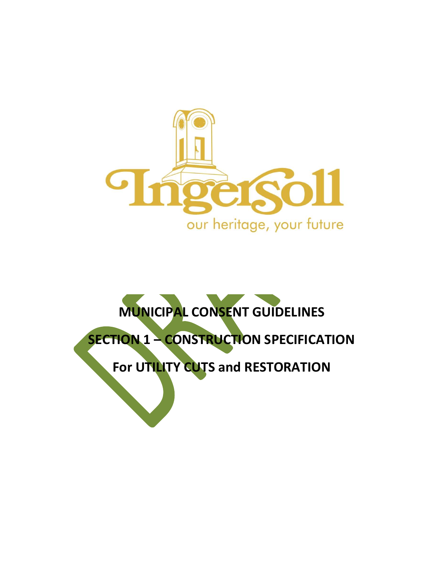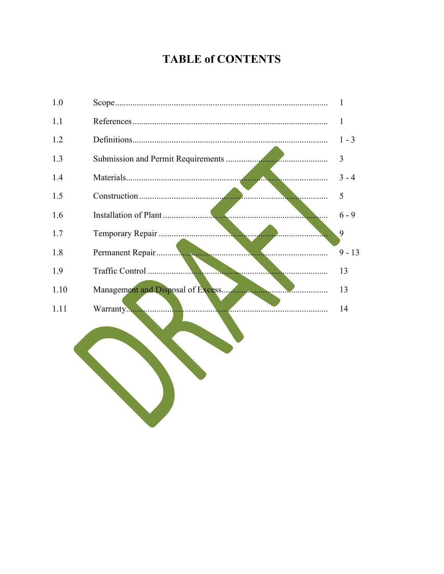# **TABLE of CONTENTS**

| 1.0  | 1              |
|------|----------------|
| 1.1  | 1              |
| 1.2  | $1 - 3$        |
| 1.3  | $\overline{3}$ |
| 1.4  | $3 - 4$        |
| 1.5  | 5              |
| 1.6  | $6 - 9$        |
| 1.7  | 9              |
| 1.8  | $9 - 13$       |
| 1.9  | 13             |
| 1.10 | 13             |
| 1.11 | 14             |
|      |                |
|      |                |
|      |                |
|      |                |
|      |                |
|      |                |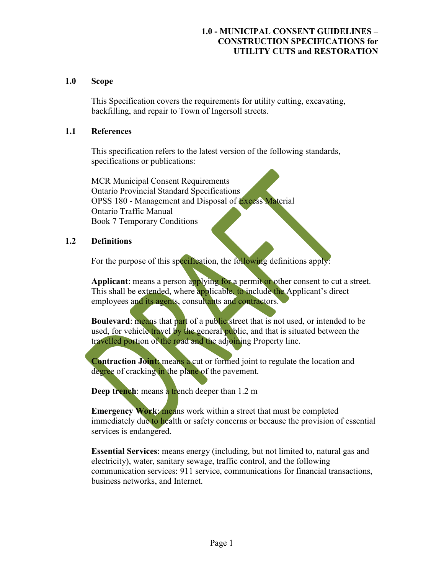#### 1.0 Scope

This Specification covers the requirements for utility cutting, excavating, backfilling, and repair to Town of Ingersoll streets.

#### 1.1 References

This specification refers to the latest version of the following standards, specifications or publications:

MCR Municipal Consent Requirements Ontario Provincial Standard Specifications OPSS 180 - Management and Disposal of Excess Material Ontario Traffic Manual Book 7 Temporary Conditions

#### 1.2 Definitions

For the purpose of this specification, the following definitions apply:

Applicant: means a person applying for a permit or other consent to cut a street. This shall be extended, where applicable, to include the Applicant's direct employees and its agents, consultants and contractors.

**Boulevard:** means that part of a public street that is not used, or intended to be used, for vehicle travel by the general public, and that is situated between the travelled portion of the road and the adjoining Property line.

Contraction Joint: means a cut or formed joint to regulate the location and degree of cracking in the plane of the pavement.

Deep trench: means a trench deeper than 1.2 m

Emergency Work: means work within a street that must be completed immediately due to health or safety concerns or because the provision of essential services is endangered.

Essential Services: means energy (including, but not limited to, natural gas and electricity), water, sanitary sewage, traffic control, and the following communication services: 911 service, communications for financial transactions, business networks, and Internet.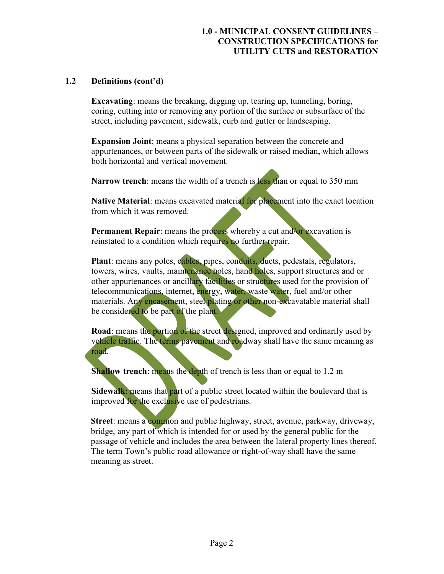# 1.2 Definitions (cont'd)

Excavating: means the breaking, digging up, tearing up, tunneling, boring, coring, cutting into or removing any portion of the surface or subsurface of the street, including pavement, sidewalk, curb and gutter or landscaping.

Expansion Joint: means a physical separation between the concrete and appurtenances, or between parts of the sidewalk or raised median, which allows both horizontal and vertical movement.

Narrow trench: means the width of a trench is less than or equal to 350 mm

Native Material: means excavated material for placement into the exact location from which it was removed.

Permanent Repair: means the process whereby a cut and/or excavation is reinstated to a condition which requires no further repair.

Plant: means any poles, cables, pipes, conduits, ducts, pedestals, regulators, towers, wires, vaults, maintenance holes, hand holes, support structures and or other appurtenances or ancillary facilities or structures used for the provision of telecommunications, internet, energy, water, waste water, fuel and/or other materials. Any encasement, steel plating or other non-excavatable material shall be considered to be part of the plant.

Road: means the portion of the street designed, improved and ordinarily used by vehicle traffic. The terms pavement and roadway shall have the same meaning as road.

Shallow trench: means the depth of trench is less than or equal to 1.2 m

Sidewalk: means that part of a public street located within the boulevard that is improved for the exclusive use of pedestrians.

Street: means a common and public highway, street, avenue, parkway, driveway, bridge, any part of which is intended for or used by the general public for the passage of vehicle and includes the area between the lateral property lines thereof. The term Town's public road allowance or right-of-way shall have the same meaning as street.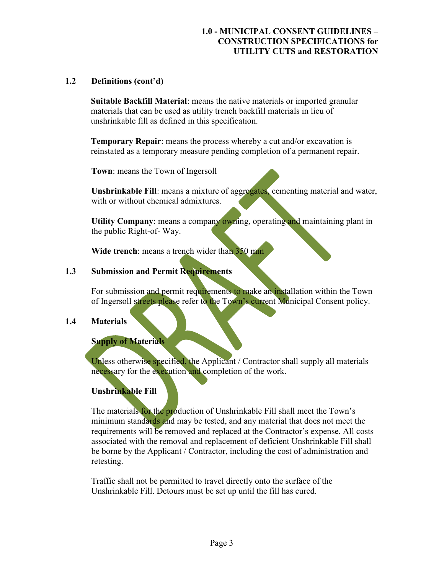# 1.2 Definitions (cont'd)

Suitable Backfill Material: means the native materials or imported granular materials that can be used as utility trench backfill materials in lieu of unshrinkable fill as defined in this specification.

Temporary Repair: means the process whereby a cut and/or excavation is reinstated as a temporary measure pending completion of a permanent repair.

Town: means the Town of Ingersoll

Unshrinkable Fill: means a mixture of aggregates, cementing material and water, with or without chemical admixtures.

Utility Company: means a company owning, operating and maintaining plant in the public Right-of- Way.

Wide trench: means a trench wider than 350 mm

#### 1.3 Submission and Permit Requirements

For submission and permit requirements to make an installation within the Town of Ingersoll streets please refer to the Town's current Municipal Consent policy.

#### 1.4 Materials

#### Supply of Materials

Unless otherwise specified, the Applicant / Contractor shall supply all materials necessary for the execution and completion of the work.

#### Unshrinkable Fill

The materials for the production of Unshrinkable Fill shall meet the Town's minimum standards and may be tested, and any material that does not meet the requirements will be removed and replaced at the Contractor's expense. All costs associated with the removal and replacement of deficient Unshrinkable Fill shall be borne by the Applicant / Contractor, including the cost of administration and retesting.

Traffic shall not be permitted to travel directly onto the surface of the Unshrinkable Fill. Detours must be set up until the fill has cured.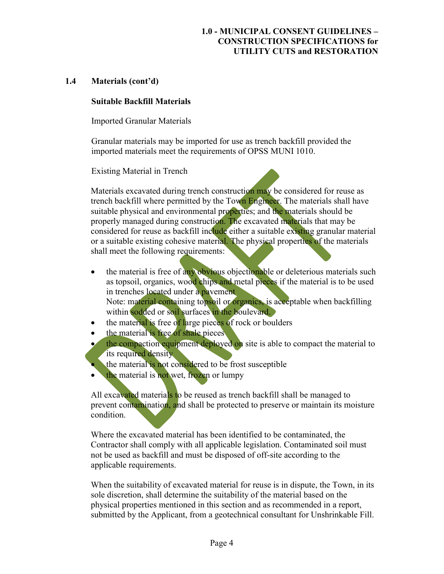#### 1.4 Materials (cont'd)

#### Suitable Backfill Materials

Imported Granular Materials

Granular materials may be imported for use as trench backfill provided the imported materials meet the requirements of OPSS MUNI 1010.

Existing Material in Trench

Materials excavated during trench construction may be considered for reuse as trench backfill where permitted by the Town Engineer. The materials shall have suitable physical and environmental properties; and the materials should be properly managed during construction. The excavated materials that may be considered for reuse as backfill include either a suitable existing granular material or a suitable existing cohesive material. The physical properties of the materials shall meet the following requirements:

- the material is free of any obvious objectionable or deleterious materials such as topsoil, organics, wood chips and metal pieces if the material is to be used in trenches located under a pavement Note: material containing topsoil or organics, is acceptable when backfilling within sodded or soil surfaces in the boulevard.
- $\bullet$  the material is free of large pieces of rock or boulders
- the material is free of shale pieces
- the compaction equipment deployed on site is able to compact the material to its required density
- the material is not considered to be frost susceptible
- the material is not wet, frozen or lumpy

All excavated materials to be reused as trench backfill shall be managed to prevent contamination, and shall be protected to preserve or maintain its moisture condition.

Where the excavated material has been identified to be contaminated, the Contractor shall comply with all applicable legislation. Contaminated soil must not be used as backfill and must be disposed of off-site according to the applicable requirements.

When the suitability of excavated material for reuse is in dispute, the Town, in its sole discretion, shall determine the suitability of the material based on the physical properties mentioned in this section and as recommended in a report, submitted by the Applicant, from a geotechnical consultant for Unshrinkable Fill.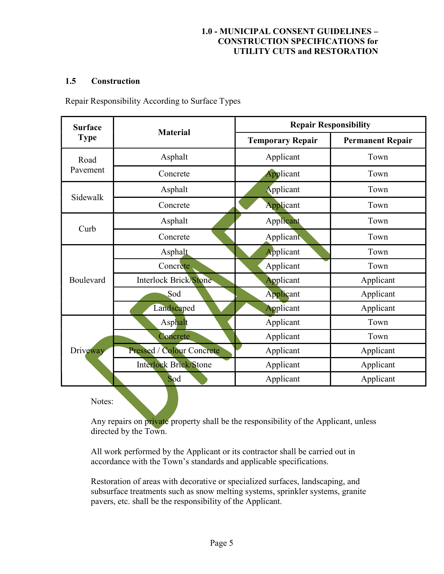# 1.5 Construction

Repair Responsibility According to Surface Types

| <b>Surface</b>   | <b>Material</b>              | <b>Repair Responsibility</b> |                         |
|------------------|------------------------------|------------------------------|-------------------------|
| <b>Type</b>      |                              | <b>Temporary Repair</b>      | <b>Permanent Repair</b> |
| Road<br>Pavement | Asphalt                      | Applicant                    | Town                    |
|                  | Concrete                     | Applicant                    | Town                    |
| Sidewalk         | Asphalt                      | Applicant                    | Town                    |
|                  | Concrete                     | Applicant                    | Town                    |
| Curb             | Asphalt                      | Applicant                    | Town                    |
|                  | Concrete                     | Applicant                    | Town                    |
| Boulevard        | Asphalt                      | Applicant                    | Town                    |
|                  | Concrete                     | Applicant                    | Town                    |
|                  | Interlock Brick/Stone        | Applicant                    | Applicant               |
|                  | Sod                          | Applicant                    | Applicant               |
|                  | Landscaped                   | Applicant                    | Applicant               |
| Driveway         | Asphalt                      | Applicant                    | Town                    |
|                  | Concrete                     | Applicant                    | Town                    |
|                  | Pressed / Colour Concrete    | Applicant                    | Applicant               |
|                  | <b>Interlock Brick/Stone</b> | Applicant                    | Applicant               |
|                  | Sod                          | Applicant                    | Applicant               |

Notes:

Any repairs on private property shall be the responsibility of the Applicant, unless directed by the Town.

All work performed by the Applicant or its contractor shall be carried out in accordance with the Town's standards and applicable specifications.

Restoration of areas with decorative or specialized surfaces, landscaping, and subsurface treatments such as snow melting systems, sprinkler systems, granite pavers, etc. shall be the responsibility of the Applicant.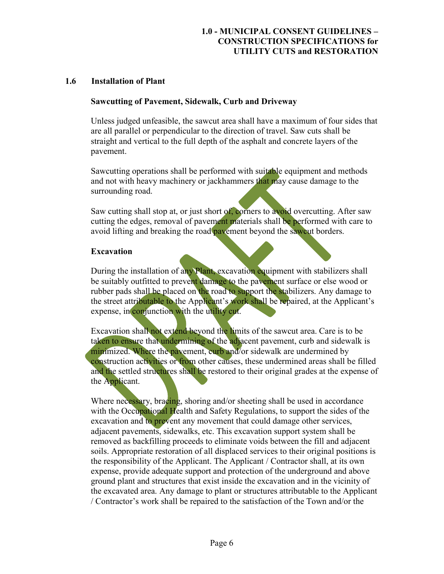#### 1.6 Installation of Plant

#### Sawcutting of Pavement, Sidewalk, Curb and Driveway

Unless judged unfeasible, the sawcut area shall have a maximum of four sides that are all parallel or perpendicular to the direction of travel. Saw cuts shall be straight and vertical to the full depth of the asphalt and concrete layers of the pavement.

Sawcutting operations shall be performed with suitable equipment and methods and not with heavy machinery or jackhammers that may cause damage to the surrounding road.

Saw cutting shall stop at, or just short of, corners to avoid overcutting. After saw cutting the edges, removal of pavement materials shall be performed with care to avoid lifting and breaking the road pavement beyond the sawcut borders.

# Excavation

During the installation of any Plant, excavation equipment with stabilizers shall be suitably outfitted to prevent damage to the pavement surface or else wood or rubber pads shall be placed on the road to support the stabilizers. Any damage to the street attributable to the Applicant's work shall be repaired, at the Applicant's expense, in conjunction with the utility cut.

Excavation shall not extend beyond the limits of the sawcut area. Care is to be taken to ensure that undermining of the adjacent pavement, curb and sidewalk is minimized. Where the pavement, curb and/or sidewalk are undermined by construction activities or from other causes, these undermined areas shall be filled and the settled structures shall be restored to their original grades at the expense of the Applicant.

Where necessary, bracing, shoring and/or sheeting shall be used in accordance with the Occupational Health and Safety Regulations, to support the sides of the excavation and to prevent any movement that could damage other services, adjacent pavements, sidewalks, etc. This excavation support system shall be removed as backfilling proceeds to eliminate voids between the fill and adjacent soils. Appropriate restoration of all displaced services to their original positions is the responsibility of the Applicant. The Applicant / Contractor shall, at its own expense, provide adequate support and protection of the underground and above ground plant and structures that exist inside the excavation and in the vicinity of the excavated area. Any damage to plant or structures attributable to the Applicant / Contractor's work shall be repaired to the satisfaction of the Town and/or the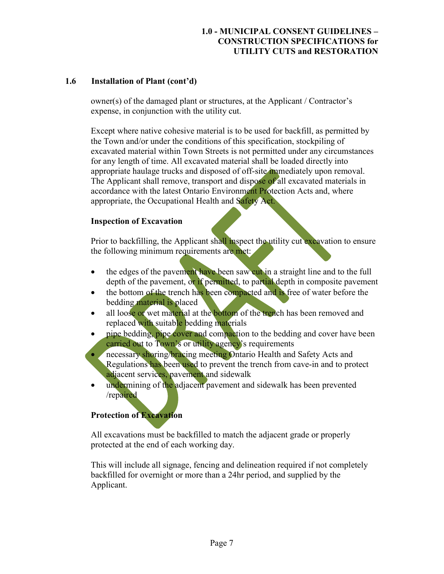# 1.6 Installation of Plant (cont'd)

owner(s) of the damaged plant or structures, at the Applicant / Contractor's expense, in conjunction with the utility cut.

Except where native cohesive material is to be used for backfill, as permitted by the Town and/or under the conditions of this specification, stockpiling of excavated material within Town Streets is not permitted under any circumstances for any length of time. All excavated material shall be loaded directly into appropriate haulage trucks and disposed of off-site immediately upon removal. The Applicant shall remove, transport and dispose of all excavated materials in accordance with the latest Ontario Environment Protection Acts and, where appropriate, the Occupational Health and Safety Act.

# Inspection of Excavation

Prior to backfilling, the Applicant shall inspect the utility cut excavation to ensure the following minimum requirements are met:

- the edges of the pavement have been saw cut in a straight line and to the full depth of the pavement, or if permitted, to partial depth in composite pavement
- the bottom of the trench has been compacted and is free of water before the bedding material is placed
- all loose or wet material at the bottom of the trench has been removed and replaced with suitable bedding materials
- pipe bedding, pipe cover and compaction to the bedding and cover have been carried out to Town's or utility agency's requirements
- necessary shoring/bracing meeting Ontario Health and Safety Acts and Regulations has been used to prevent the trench from cave-in and to protect adjacent services, pavement and sidewalk
- undermining of the adjacent pavement and sidewalk has been prevented /repaired

# Protection of Excavation

All excavations must be backfilled to match the adjacent grade or properly protected at the end of each working day.

This will include all signage, fencing and delineation required if not completely backfilled for overnight or more than a 24hr period, and supplied by the Applicant.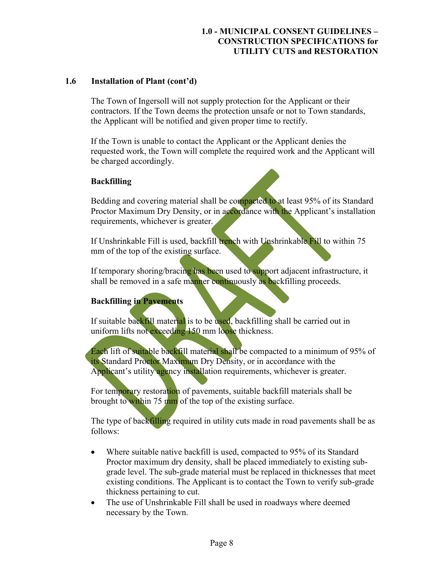# 1.6 Installation of Plant (cont'd)

The Town of Ingersoll will not supply protection for the Applicant or their contractors. If the Town deems the protection unsafe or not to Town standards, the Applicant will be notified and given proper time to rectify.

If the Town is unable to contact the Applicant or the Applicant denies the requested work, the Town will complete the required work and the Applicant will be charged accordingly.

# Backfilling

Bedding and covering material shall be compacted to at least 95% of its Standard Proctor Maximum Dry Density, or in accordance with the Applicant's installation requirements, whichever is greater.

If Unshrinkable Fill is used, backfill trench with Unshrinkable Fill to within 75 mm of the top of the existing surface.

If temporary shoring/bracing has been used to support adjacent infrastructure, it shall be removed in a safe manner continuously as backfilling proceeds.

# Backfilling in Pavements

If suitable backfill material is to be used, backfilling shall be carried out in uniform lifts not exceeding 150 mm loose thickness.

Each lift of suitable backfill material shall be compacted to a minimum of 95% of its Standard Proctor Maximum Dry Density, or in accordance with the Applicant's utility agency installation requirements, whichever is greater.

For temporary restoration of pavements, suitable backfill materials shall be brought to within 75 mm of the top of the existing surface.

The type of backfilling required in utility cuts made in road pavements shall be as follows:

- Where suitable native backfill is used, compacted to 95% of its Standard Proctor maximum dry density, shall be placed immediately to existing subgrade level. The sub-grade material must be replaced in thicknesses that meet existing conditions. The Applicant is to contact the Town to verify sub-grade thickness pertaining to cut.
- The use of Unshrinkable Fill shall be used in roadways where deemed necessary by the Town.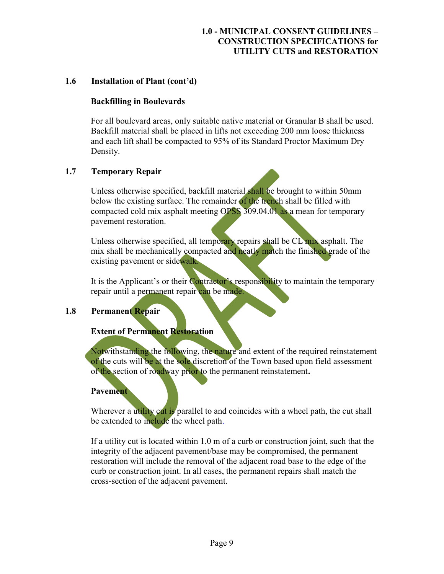# 1.6 Installation of Plant (cont'd)

#### Backfilling in Boulevards

For all boulevard areas, only suitable native material or Granular B shall be used. Backfill material shall be placed in lifts not exceeding 200 mm loose thickness and each lift shall be compacted to 95% of its Standard Proctor Maximum Dry Density.

# 1.7 Temporary Repair

Unless otherwise specified, backfill material shall be brought to within 50mm below the existing surface. The remainder of the trench shall be filled with compacted cold mix asphalt meeting OPSS 309.04.01 as a mean for temporary pavement restoration.

Unless otherwise specified, all temporary repairs shall be CL mix asphalt. The mix shall be mechanically compacted and neatly match the finished grade of the existing pavement or sidewalk.

It is the Applicant's or their Contractor's responsibility to maintain the temporary repair until a permanent repair can be made.

# 1.8 Permanent Repair

# Extent of Permanent Restoration

Notwithstanding the following, the nature and extent of the required reinstatement of the cuts will be at the sole discretion of the Town based upon field assessment of the section of roadway prior to the permanent reinstatement.

#### **Pavement**

Wherever a utility cut is parallel to and coincides with a wheel path, the cut shall be extended to include the wheel path.

If a utility cut is located within 1.0 m of a curb or construction joint, such that the integrity of the adjacent pavement/base may be compromised, the permanent restoration will include the removal of the adjacent road base to the edge of the curb or construction joint. In all cases, the permanent repairs shall match the cross-section of the adjacent pavement.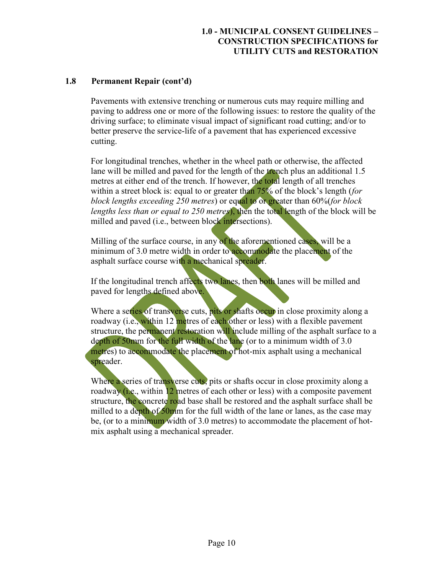# 1.8 Permanent Repair (cont'd)

Pavements with extensive trenching or numerous cuts may require milling and paving to address one or more of the following issues: to restore the quality of the driving surface; to eliminate visual impact of significant road cutting; and/or to better preserve the service-life of a pavement that has experienced excessive cutting.

For longitudinal trenches, whether in the wheel path or otherwise, the affected lane will be milled and paved for the length of the trench plus an additional 1.5 metres at either end of the trench. If however, the total length of all trenches within a street block is: equal to or greater than 75% of the block's length (for block lengths exceeding 250 metres) or equal to or greater than 60%(for block lengths less than or equal to 250 metres), then the total length of the block will be milled and paved (i.e., between block intersections).

Milling of the surface course, in any of the aforementioned cases, will be a minimum of 3.0 metre width in order to accommodate the placement of the asphalt surface course with a mechanical spreader.

If the longitudinal trench affects two lanes, then both lanes will be milled and paved for lengths defined above.

Where a series of transverse cuts, pits or shafts occur in close proximity along a roadway (i.e., within 12 metres of each other or less) with a flexible pavement structure, the permanent restoration will include milling of the asphalt surface to a depth of 50mm for the full width of the lane (or to a minimum width of 3.0) metres) to accommodate the placement of hot-mix asphalt using a mechanical spreader.

Where a series of transverse cuts, pits or shafts occur in close proximity along a roadway (i.e., within 12 metres of each other or less) with a composite pavement structure, the concrete road base shall be restored and the asphalt surface shall be milled to a depth of 50mm for the full width of the lane or lanes, as the case may be, (or to a minimum width of 3.0 metres) to accommodate the placement of hotmix asphalt using a mechanical spreader.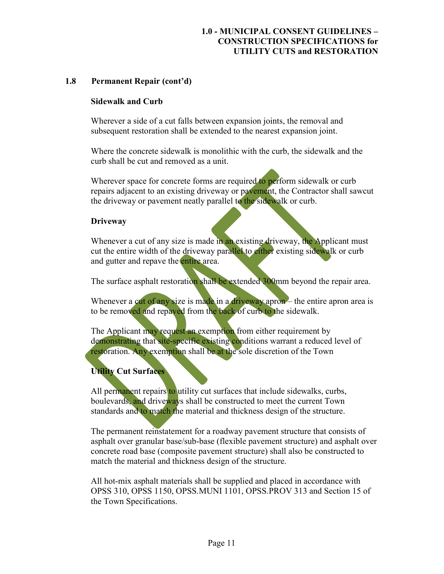# 1.8 Permanent Repair (cont'd)

#### Sidewalk and Curb

Wherever a side of a cut falls between expansion joints, the removal and subsequent restoration shall be extended to the nearest expansion joint.

Where the concrete sidewalk is monolithic with the curb, the sidewalk and the curb shall be cut and removed as a unit.

Wherever space for concrete forms are required to perform sidewalk or curb repairs adjacent to an existing driveway or pavement, the Contractor shall sawcut the driveway or pavement neatly parallel to the sidewalk or curb.

# **Driveway**

Whenever a cut of any size is made in an existing driveway, the Applicant must cut the entire width of the driveway parallel to either existing sidewalk or curb and gutter and repave the entire area.

The surface asphalt restoration shall be extended 300mm beyond the repair area.

Whenever a cut of any size is made in a driveway apron – the entire apron area is to be removed and repaved from the back of curb to the sidewalk.

The Applicant may request an exemption from either requirement by demonstrating that site-specific existing conditions warrant a reduced level of restoration. Any exemption shall be at the sole discretion of the Town

# Utility Cut Surfaces

All permanent repairs to utility cut surfaces that include sidewalks, curbs, boulevards, and driveways shall be constructed to meet the current Town standards and to match the material and thickness design of the structure.

The permanent reinstatement for a roadway pavement structure that consists of asphalt over granular base/sub-base (flexible pavement structure) and asphalt over concrete road base (composite pavement structure) shall also be constructed to match the material and thickness design of the structure.

All hot-mix asphalt materials shall be supplied and placed in accordance with OPSS 310, OPSS 1150, OPSS.MUNI 1101, OPSS.PROV 313 and Section 15 of the Town Specifications.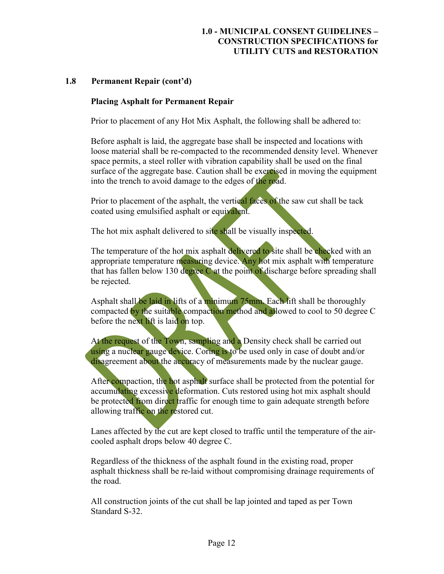#### 1.8 Permanent Repair (cont'd)

#### Placing Asphalt for Permanent Repair

Prior to placement of any Hot Mix Asphalt, the following shall be adhered to:

Before asphalt is laid, the aggregate base shall be inspected and locations with loose material shall be re-compacted to the recommended density level. Whenever space permits, a steel roller with vibration capability shall be used on the final surface of the aggregate base. Caution shall be exercised in moving the equipment into the trench to avoid damage to the edges of the road.

Prior to placement of the asphalt, the vertical faces of the saw cut shall be tack coated using emulsified asphalt or equivalent.

The hot mix asphalt delivered to site shall be visually inspected.

The temperature of the hot mix asphalt delivered to site shall be checked with an appropriate temperature measuring device. Any hot mix asphalt with temperature that has fallen below 130 degree  $\ddot{C}$  at the point of discharge before spreading shall be rejected.

Asphalt shall be laid in lifts of a minimum 75mm. Each lift shall be thoroughly compacted by the suitable compaction method and allowed to cool to 50 degree C before the next lift is laid on top.

At the request of the Town, sampling and a Density check shall be carried out using a nuclear gauge device. Coring is to be used only in case of doubt and/or disagreement about the accuracy of measurements made by the nuclear gauge.

After compaction, the hot asphalt surface shall be protected from the potential for accumulating excessive deformation. Cuts restored using hot mix asphalt should be protected from direct traffic for enough time to gain adequate strength before allowing traffic on the restored cut.

Lanes affected by the cut are kept closed to traffic until the temperature of the aircooled asphalt drops below 40 degree C.

Regardless of the thickness of the asphalt found in the existing road, proper asphalt thickness shall be re-laid without compromising drainage requirements of the road.

All construction joints of the cut shall be lap jointed and taped as per Town Standard S-32.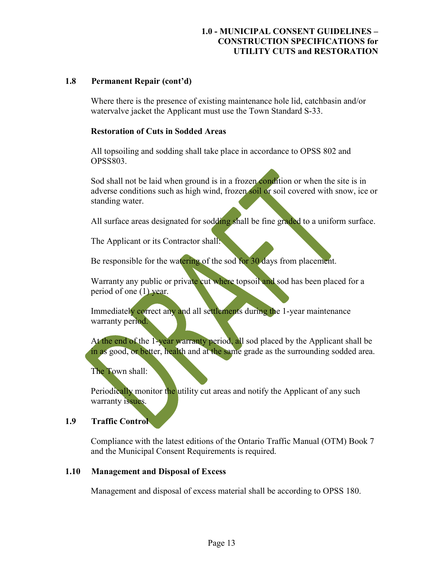#### 1.8 Permanent Repair (cont'd)

Where there is the presence of existing maintenance hole lid, catchbasin and/or watervalve jacket the Applicant must use the Town Standard S-33.

#### Restoration of Cuts in Sodded Areas

All topsoiling and sodding shall take place in accordance to OPSS 802 and OPSS803.

Sod shall not be laid when ground is in a frozen condition or when the site is in adverse conditions such as high wind, frozen soil or soil covered with snow, ice or standing water.

All surface areas designated for sodding shall be fine graded to a uniform surface.

The Applicant or its Contractor shall:

Be responsible for the watering of the sod for 30 days from placement.

Warranty any public or private cut where topsoil and sod has been placed for a period of one (1) year.

Immediately correct any and all settlements during the 1-year maintenance warranty period.

At the end of the 1-year warranty period, all sod placed by the Applicant shall be in as good, or better, health and at the same grade as the surrounding sodded area.

The Town shall:

Periodically monitor the utility cut areas and notify the Applicant of any such warranty issues.

# 1.9 Traffic Control

Compliance with the latest editions of the Ontario Traffic Manual (OTM) Book 7 and the Municipal Consent Requirements is required.

#### 1.10 Management and Disposal of Excess

Management and disposal of excess material shall be according to OPSS 180.